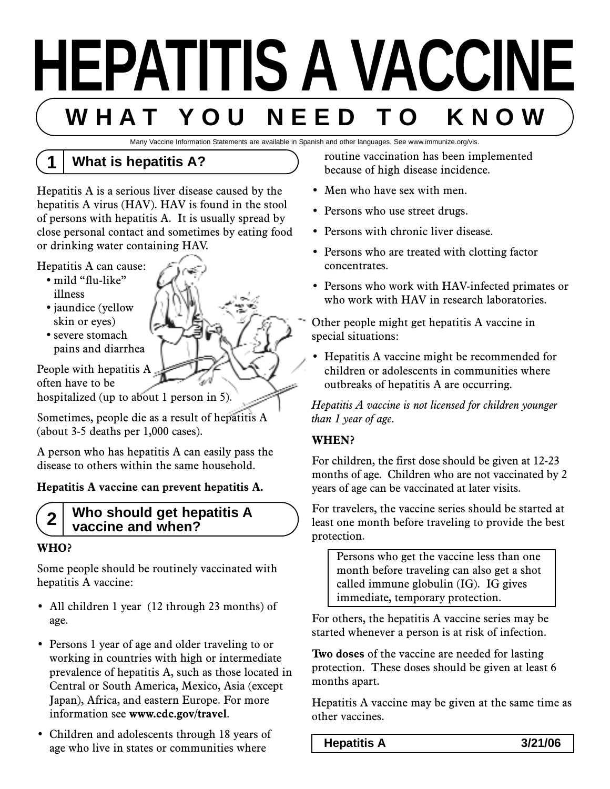# **HEPATITIS A VACCINE W H A T Y O U N E E D T O K N O W**

Many Vaccine Information Statements are available in Spanish and other languages. See www.immunize.org/vis.

## **1 What is hepatitis A?**

Hepatitis A is a serious liver disease caused by the hepatitis A virus (HAV). HAV is found in the stool of persons with hepatitis A. It is usually spread by close personal contact and sometimes by eating food or drinking water containing HAV.

- Hepatitis A can cause:
	- mild "flu-like" illness
	- jaundice (yellow skin or eyes)
	- severe stomach pains and diarrhea

People with hepatitis A. often have to be

hospitalized (up to about 1 person in 5).

Sometimes, people die as a result of hepatitis A (about 3-5 deaths per 1,000 cases).

A person who has hepatitis A can easily pass the disease to others within the same household.

#### **Hepatitis A vaccine can prevent hepatitis A.**

#### **2 Who should get hepatitis A vaccine and when?**

#### **WHO?**

Some people should be routinely vaccinated with hepatitis A vaccine:

- All children 1 year (12 through 23 months) of age.
- Persons 1 year of age and older traveling to or working in countries with high or intermediate prevalence of hepatitis A, such as those located in Central or South America, Mexico, Asia (except Japan), Africa, and eastern Europe. For more information see **www.cdc.gov/travel**.
- Children and adolescents through 18 years of age who live in states or communities where

routine vaccination has been implemented because of high disease incidence.

- Men who have sex with men.
- Persons who use street drugs.
- Persons with chronic liver disease.
- Persons who are treated with clotting factor concentrates.
- Persons who work with HAV-infected primates or who work with HAV in research laboratories.

Other people might get hepatitis A vaccine in special situations:

• Hepatitis A vaccine might be recommended for children or adolescents in communities where outbreaks of hepatitis A are occurring.

*Hepatitis A vaccine is not licensed for children younger than 1 year of age.*

#### **WHEN?**

For children, the first dose should be given at 12-23 months of age. Children who are not vaccinated by 2 years of age can be vaccinated at later visits.

For travelers, the vaccine series should be started at least one month before traveling to provide the best protection.

Persons who get the vaccine less than one month before traveling can also get a shot called immune globulin (IG). IG gives immediate, temporary protection.

For others, the hepatitis A vaccine series may be started whenever a person is at risk of infection.

**Two doses** of the vaccine are needed for lasting protection. These doses should be given at least 6 months apart.

Hepatitis A vaccine may be given at the same time as other vaccines.

**Hepatitis A 3/21/06**